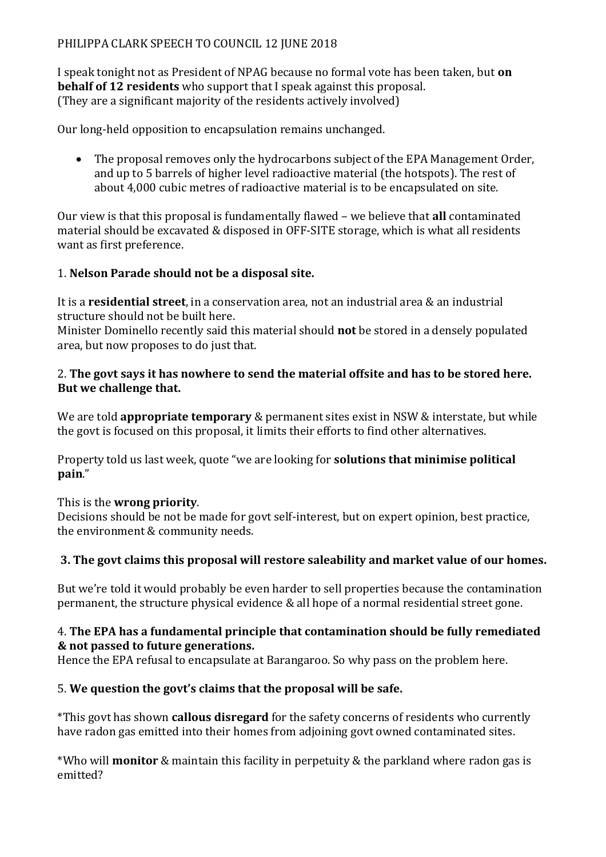# PHILIPPA CLARK SPEECH TO COUNCIL 12 JUNE 2018

I speak tonight not as President of NPAG because no formal vote has been taken, but **on behalf of 12 residents** who support that I speak against this proposal. (They are a significant majority of the residents actively involved)

Our long-held opposition to encapsulation remains unchanged.

• The proposal removes only the hydrocarbons subject of the EPA Management Order, and up to 5 barrels of higher level radioactive material (the hotspots). The rest of about 4,000 cubic metres of radioactive material is to be encapsulated on site.

Our view is that this proposal is fundamentally flawed – we believe that **all** contaminated material should be excavated & disposed in OFF-SITE storage, which is what all residents want as first preference.

### 1. **Nelson Parade should not be a disposal site.**

It is a **residential street**, in a conservation area, not an industrial area & an industrial structure should not be built here.

Minister Dominello recently said this material should **not** be stored in a densely populated area, but now proposes to do just that.

### 2. **The govt says it has nowhere to send the material offsite and has to be stored here. But we challenge that.**

We are told **appropriate temporary** & permanent sites exist in NSW & interstate, but while the govt is focused on this proposal, it limits their efforts to find other alternatives.

Property told us last week, quote "we are looking for **solutions that minimise political pain**."

#### This is the **wrong priority**.

Decisions should be not be made for govt self-interest, but on expert opinion, best practice, the environment & community needs.

# **3. The govt claims this proposal will restore saleability and market value of our homes.**

But we're told it would probably be even harder to sell properties because the contamination permanent, the structure physical evidence & all hope of a normal residential street gone.

#### 4. **The EPA has a fundamental principle that contamination should be fully remediated & not passed to future generations.**

Hence the EPA refusal to encapsulate at Barangaroo. So why pass on the problem here.

#### 5. **We question the govt's claims that the proposal will be safe.**

\*This govt has shown **callous disregard** for the safety concerns of residents who currently have radon gas emitted into their homes from adjoining govt owned contaminated sites.

\*Who will **monitor** & maintain this facility in perpetuity & the parkland where radon gas is emitted?